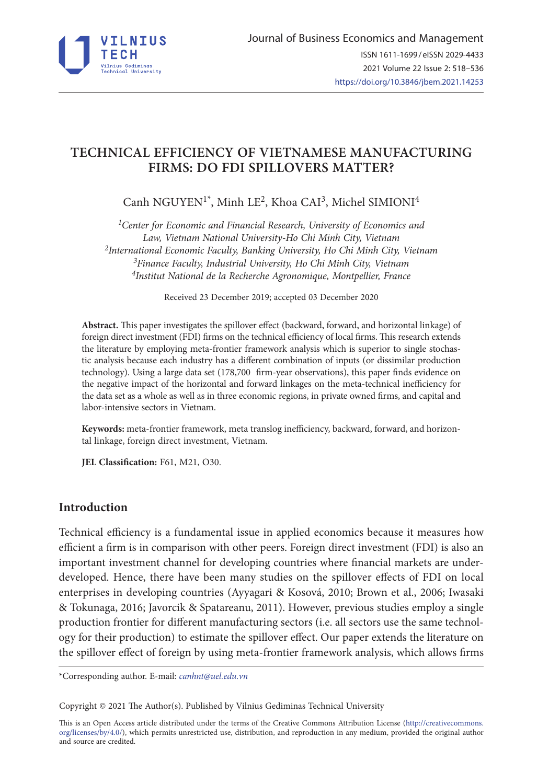

# **TECHNICAL EFFICIENCY OF VIETNAMESE MANUFACTURING FIRMS: DO FDI SPILLOVERS MATTER?**

Canh NGUYEN<sup>1\*</sup>, Minh LE<sup>2</sup>, Khoa CAI<sup>3</sup>, Michel SIMIONI<sup>4</sup>

*1Center for Economic and Financial Research, University of Economics and Law, Vietnam National University-Ho Chi Minh City, Vietnam 2International Economic Faculty, Banking University, Ho Chi Minh City, Vietnam 3Finance Faculty, Industrial University, Ho Chi Minh City, Vietnam 4Institut National de la Recherche Agronomique, Montpellier, France*

Received 23 December 2019; accepted 03 December 2020

**Abstract.** This paper investigates the spillover effect (backward, forward, and horizontal linkage) of foreign direct investment (FDI) firms on the technical efficiency of local firms. This research extends the literature by employing meta-frontier framework analysis which is superior to single stochastic analysis because each industry has a different combination of inputs (or dissimilar production technology). Using a large data set (178,700 firm-year observations), this paper finds evidence on the negative impact of the horizontal and forward linkages on the meta-technical inefficiency for the data set as a whole as well as in three economic regions, in private owned firms, and capital and labor-intensive sectors in Vietnam.

**Keywords:** meta-frontier framework, meta translog inefficiency, backward, forward, and horizontal linkage, foreign direct investment, Vietnam.

**JEL Classification:** F61, M21, O30.

# **Introduction**

Technical efficiency is a fundamental issue in applied economics because it measures how efficient a firm is in comparison with other peers. Foreign direct investment (FDI) is also an important investment channel for developing countries where financial markets are underdeveloped. Hence, there have been many studies on the spillover effects of FDI on local enterprises in developing countries (Ayyagari & Kosová, 2010; Brown et al., 2006; Iwasaki & Tokunaga, 2016; Javorcik & Spatareanu, 2011). However, previous studies employ a single production frontier for different manufacturing sectors (i.e. all sectors use the same technology for their production) to estimate the spillover effect. Our paper extends the literature on the spillover effect of foreign by using meta-frontier framework analysis, which allows firms

\*Corresponding author. E-mail: *canhnt@uel.edu.vn*

Copyright © 2021 The Author(s). Published by Vilnius Gediminas Technical University

This is an Open Access article distributed under the terms of the Creative Commons Attribution License (http://creativecommons. org/licenses/by/4.0/), which permits unrestricted use, distribution, and reproduction in any medium, provided the original author and source are credited.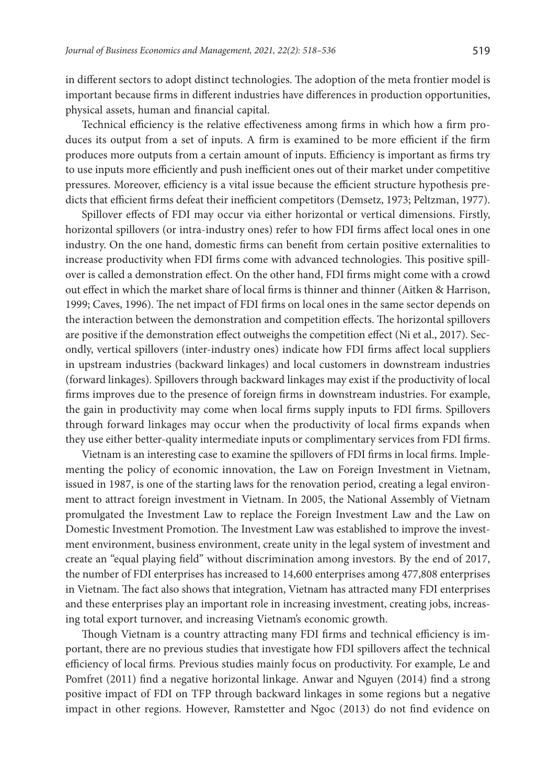in different sectors to adopt distinct technologies. The adoption of the meta frontier model is important because firms in different industries have differences in production opportunities, physical assets, human and financial capital.

Technical efficiency is the relative effectiveness among firms in which how a firm produces its output from a set of inputs. A firm is examined to be more efficient if the firm produces more outputs from a certain amount of inputs. Efficiency is important as firms try to use inputs more efficiently and push inefficient ones out of their market under competitive pressures. Moreover, efficiency is a vital issue because the efficient structure hypothesis predicts that efficient firms defeat their inefficient competitors (Demsetz, 1973; Peltzman, 1977).

Spillover effects of FDI may occur via either horizontal or vertical dimensions. Firstly, horizontal spillovers (or intra-industry ones) refer to how FDI firms affect local ones in one industry. On the one hand, domestic firms can benefit from certain positive externalities to increase productivity when FDI firms come with advanced technologies. This positive spillover is called a demonstration effect. On the other hand, FDI firms might come with a crowd out effect in which the market share of local firms is thinner and thinner (Aitken & Harrison, 1999; Caves, 1996). The net impact of FDI firms on local ones in the same sector depends on the interaction between the demonstration and competition effects. The horizontal spillovers are positive if the demonstration effect outweighs the competition effect (Ni et al., 2017). Secondly, vertical spillovers (inter-industry ones) indicate how FDI firms affect local suppliers in upstream industries (backward linkages) and local customers in downstream industries (forward linkages). Spillovers through backward linkages may exist if the productivity of local firms improves due to the presence of foreign firms in downstream industries. For example, the gain in productivity may come when local firms supply inputs to FDI firms. Spillovers through forward linkages may occur when the productivity of local firms expands when they use either better-quality intermediate inputs or complimentary services from FDI firms.

Vietnam is an interesting case to examine the spillovers of FDI firms in local firms. Implementing the policy of economic innovation, the Law on Foreign Investment in Vietnam, issued in 1987, is one of the starting laws for the renovation period, creating a legal environment to attract foreign investment in Vietnam. In 2005, the National Assembly of Vietnam promulgated the Investment Law to replace the Foreign Investment Law and the Law on Domestic Investment Promotion. The Investment Law was established to improve the investment environment, business environment, create unity in the legal system of investment and create an "equal playing field" without discrimination among investors. By the end of 2017, the number of FDI enterprises has increased to 14,600 enterprises among 477,808 enterprises in Vietnam. The fact also shows that integration, Vietnam has attracted many FDI enterprises and these enterprises play an important role in increasing investment, creating jobs, increasing total export turnover, and increasing Vietnam's economic growth.

Though Vietnam is a country attracting many FDI firms and technical efficiency is important, there are no previous studies that investigate how FDI spillovers affect the technical efficiency of local firms. Previous studies mainly focus on productivity. For example, Le and Pomfret (2011) find a negative horizontal linkage. Anwar and Nguyen (2014) find a strong positive impact of FDI on TFP through backward linkages in some regions but a negative impact in other regions. However, Ramstetter and Ngoc (2013) do not find evidence on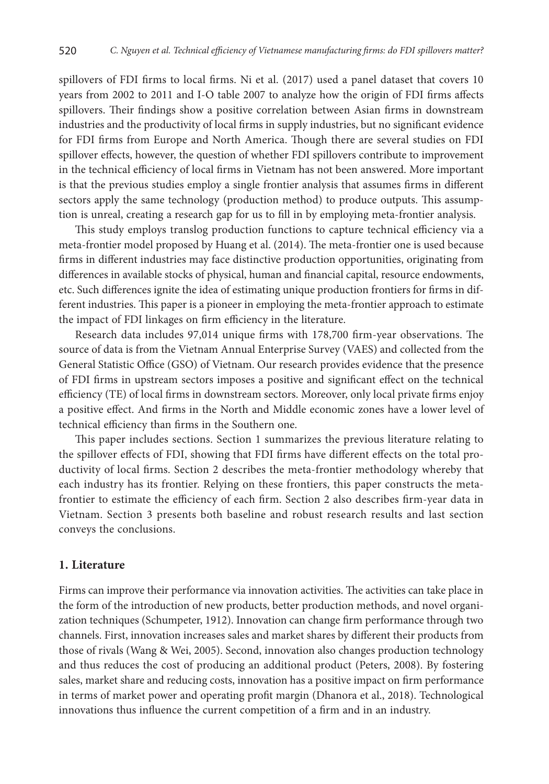spillovers of FDI firms to local firms. Ni et al. (2017) used a panel dataset that covers 10 years from 2002 to 2011 and I-O table 2007 to analyze how the origin of FDI firms affects spillovers. Their findings show a positive correlation between Asian firms in downstream industries and the productivity of local firms in supply industries, but no significant evidence for FDI firms from Europe and North America. Though there are several studies on FDI spillover effects, however, the question of whether FDI spillovers contribute to improvement in the technical efficiency of local firms in Vietnam has not been answered. More important is that the previous studies employ a single frontier analysis that assumes firms in different sectors apply the same technology (production method) to produce outputs. This assumption is unreal, creating a research gap for us to fill in by employing meta-frontier analysis.

This study employs translog production functions to capture technical efficiency via a meta-frontier model proposed by Huang et al. (2014). The meta-frontier one is used because firms in different industries may face distinctive production opportunities, originating from differences in available stocks of physical, human and financial capital, resource endowments, etc. Such differences ignite the idea of estimating unique production frontiers for firms in different industries. This paper is a pioneer in employing the meta-frontier approach to estimate the impact of FDI linkages on firm efficiency in the literature.

Research data includes 97,014 unique firms with 178,700 firm-year observations. The source of data is from the Vietnam Annual Enterprise Survey (VAES) and collected from the General Statistic Office (GSO) of Vietnam. Our research provides evidence that the presence of FDI firms in upstream sectors imposes a positive and significant effect on the technical efficiency (TE) of local firms in downstream sectors. Moreover, only local private firms enjoy a positive effect. And firms in the North and Middle economic zones have a lower level of technical efficiency than firms in the Southern one.

This paper includes sections. Section 1 summarizes the previous literature relating to the spillover effects of FDI, showing that FDI firms have different effects on the total productivity of local firms. Section 2 describes the meta-frontier methodology whereby that each industry has its frontier. Relying on these frontiers, this paper constructs the metafrontier to estimate the efficiency of each firm. Section 2 also describes firm-year data in Vietnam. Section 3 presents both baseline and robust research results and last section conveys the conclusions.

#### **1. Literature**

Firms can improve their performance via innovation activities. The activities can take place in the form of the introduction of new products, better production methods, and novel organization techniques (Schumpeter, 1912). Innovation can change firm performance through two channels. First, innovation increases sales and market shares by different their products from those of rivals (Wang & Wei, 2005). Second, innovation also changes production technology and thus reduces the cost of producing an additional product (Peters, 2008). By fostering sales, market share and reducing costs, innovation has a positive impact on firm performance in terms of market power and operating profit margin (Dhanora et al., 2018). Technological innovations thus influence the current competition of a firm and in an industry.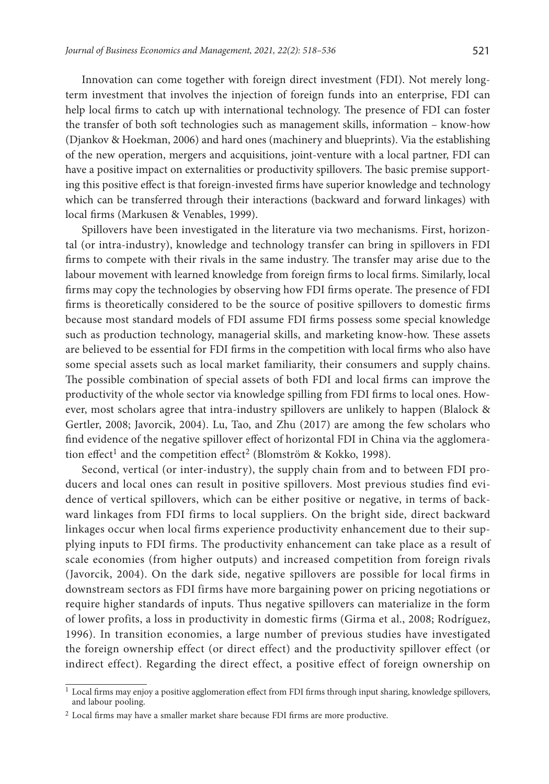Innovation can come together with foreign direct investment (FDI). Not merely longterm investment that involves the injection of foreign funds into an enterprise, FDI can help local firms to catch up with international technology. The presence of FDI can foster the transfer of both soft technologies such as management skills, information – know-how (Djankov & Hoekman, 2006) and hard ones (machinery and blueprints). Via the establishing of the new operation, mergers and acquisitions, joint-venture with a local partner, FDI can have a positive impact on externalities or productivity spillovers. The basic premise supporting this positive effect is that foreign-invested firms have superior knowledge and technology which can be transferred through their interactions (backward and forward linkages) with local firms (Markusen & Venables, 1999).

Spillovers have been investigated in the literature via two mechanisms. First, horizontal (or intra-industry), knowledge and technology transfer can bring in spillovers in FDI firms to compete with their rivals in the same industry. The transfer may arise due to the labour movement with learned knowledge from foreign firms to local firms. Similarly, local firms may copy the technologies by observing how FDI firms operate. The presence of FDI firms is theoretically considered to be the source of positive spillovers to domestic firms because most standard models of FDI assume FDI firms possess some special knowledge such as production technology, managerial skills, and marketing know-how. These assets are believed to be essential for FDI firms in the competition with local firms who also have some special assets such as local market familiarity, their consumers and supply chains. The possible combination of special assets of both FDI and local firms can improve the productivity of the whole sector via knowledge spilling from FDI firms to local ones. However, most scholars agree that intra-industry spillovers are unlikely to happen (Blalock & Gertler, 2008; Javorcik, 2004). Lu, Tao, and Zhu (2017) are among the few scholars who find evidence of the negative spillover effect of horizontal FDI in China via the agglomeration effect<sup>1</sup> and the competition effect<sup>2</sup> (Blomström & Kokko, 1998).

Second, vertical (or inter-industry), the supply chain from and to between FDI producers and local ones can result in positive spillovers. Most previous studies find evidence of vertical spillovers, which can be either positive or negative, in terms of backward linkages from FDI firms to local suppliers. On the bright side, direct backward linkages occur when local firms experience productivity enhancement due to their supplying inputs to FDI firms. The productivity enhancement can take place as a result of scale economies (from higher outputs) and increased competition from foreign rivals (Javorcik, 2004). On the dark side, negative spillovers are possible for local firms in downstream sectors as FDI firms have more bargaining power on pricing negotiations or require higher standards of inputs. Thus negative spillovers can materialize in the form of lower profits, a loss in productivity in domestic firms (Girma et al., 2008; Rodríguez, 1996). In transition economies, a large number of previous studies have investigated the foreign ownership effect (or direct effect) and the productivity spillover effect (or indirect effect). Regarding the direct effect, a positive effect of foreign ownership on

<sup>1</sup> Local firms may enjoy a positive agglomeration effect from FDI firms through input sharing, knowledge spillovers, and labour pooling.

<sup>2</sup> Local firms may have a smaller market share because FDI firms are more productive.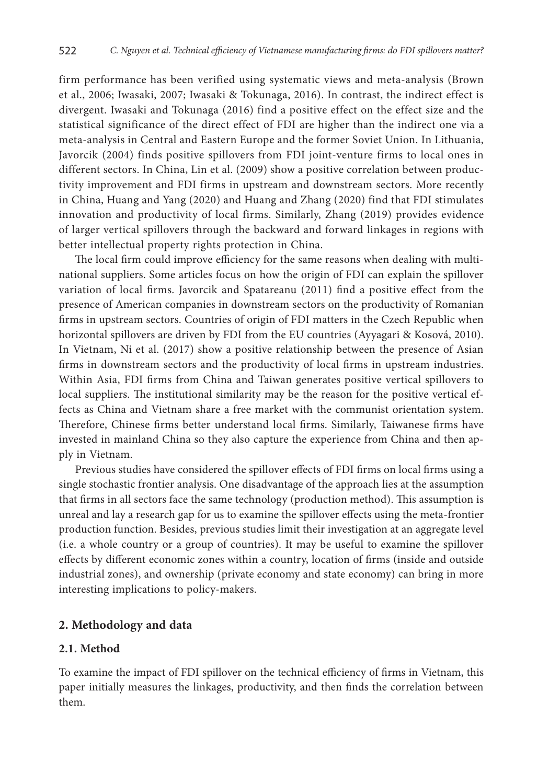firm performance has been verified using systematic views and meta-analysis (Brown et al., 2006; Iwasaki, 2007; Iwasaki & Tokunaga, 2016). In contrast, the indirect effect is divergent. Iwasaki and Tokunaga (2016) find a positive effect on the effect size and the statistical significance of the direct effect of FDI are higher than the indirect one via a meta-analysis in Central and Eastern Europe and the former Soviet Union. In Lithuania, Javorcik (2004) finds positive spillovers from FDI joint-venture firms to local ones in different sectors. In China, Lin et al. (2009) show a positive correlation between productivity improvement and FDI firms in upstream and downstream sectors. More recently in China, Huang and Yang (2020) and Huang and Zhang (2020) find that FDI stimulates innovation and productivity of local firms. Similarly, Zhang (2019) provides evidence of larger vertical spillovers through the backward and forward linkages in regions with better intellectual property rights protection in China.

The local firm could improve efficiency for the same reasons when dealing with multinational suppliers. Some articles focus on how the origin of FDI can explain the spillover variation of local firms. Javorcik and Spatareanu (2011) find a positive effect from the presence of American companies in downstream sectors on the productivity of Romanian firms in upstream sectors. Countries of origin of FDI matters in the Czech Republic when horizontal spillovers are driven by FDI from the EU countries (Ayyagari & Kosová, 2010). In Vietnam, Ni et al. (2017) show a positive relationship between the presence of Asian firms in downstream sectors and the productivity of local firms in upstream industries. Within Asia, FDI firms from China and Taiwan generates positive vertical spillovers to local suppliers. The institutional similarity may be the reason for the positive vertical effects as China and Vietnam share a free market with the communist orientation system. Therefore, Chinese firms better understand local firms. Similarly, Taiwanese firms have invested in mainland China so they also capture the experience from China and then apply in Vietnam.

Previous studies have considered the spillover effects of FDI firms on local firms using a single stochastic frontier analysis. One disadvantage of the approach lies at the assumption that firms in all sectors face the same technology (production method). This assumption is unreal and lay a research gap for us to examine the spillover effects using the meta-frontier production function. Besides, previous studies limit their investigation at an aggregate level (i.e. a whole country or a group of countries). It may be useful to examine the spillover effects by different economic zones within a country, location of firms (inside and outside industrial zones), and ownership (private economy and state economy) can bring in more interesting implications to policy-makers.

### **2. Methodology and data**

### **2.1. Method**

To examine the impact of FDI spillover on the technical efficiency of firms in Vietnam, this paper initially measures the linkages, productivity, and then finds the correlation between them.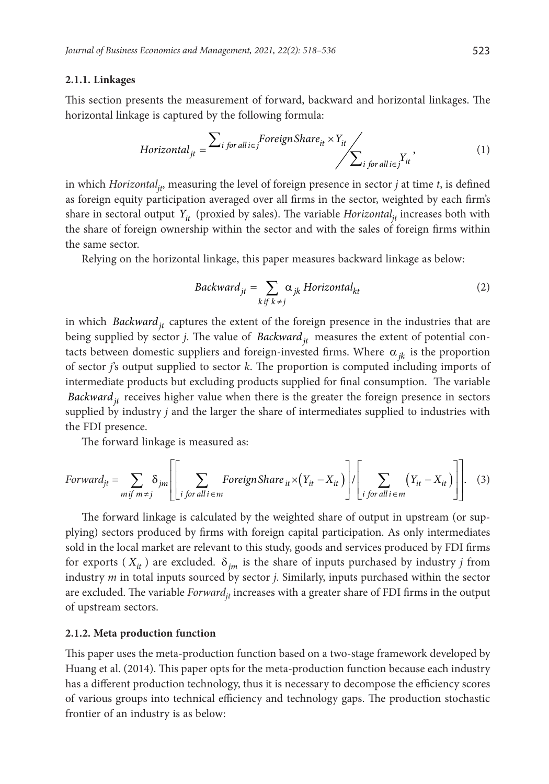#### **2.1.1. Linkages**

This section presents the measurement of forward, backward and horizontal linkages. The horizontal linkage is captured by the following formula:

$$
Horizontal_{jt} = \sum_{i \text{ for all } i \in j} Foreign\, \text{S}hare_{it} \times Y_{it} \times \sum_{i \text{ for all } i \in j} Y_{it} \tag{1}
$$

in which *Horizontal<sub>it</sub>*, measuring the level of foreign presence in sector *j* at time *t*, is defined as foreign equity participation averaged over all firms in the sector, weighted by each firm's share in sectoral output  $Y_{it}$  (proxied by sales). The variable *Horizontal<sub>it</sub>* increases both with the share of foreign ownership within the sector and with the sales of foreign firms within the same sector.

Relying on the horizontal linkage, this paper measures backward linkage as below:

$$
Backward_{jt} = \sum_{k \text{ if } k \neq j} \alpha_{jk} \text{ Horizontal}_{kt} \tag{2}
$$

in which *Backward*<sub>it</sub> captures the extent of the foreign presence in the industries that are being supplied by sector *j*. The value of *Backward*<sub>it</sub> measures the extent of potential contacts between domestic suppliers and foreign-invested firms. Where  $\alpha_{ik}$  is the proportion of sector *j*'s output supplied to sector *k*. The proportion is computed including imports of intermediate products but excluding products supplied for final consumption. The variable *Backward*<sub>it</sub> receives higher value when there is the greater the foreign presence in sectors supplied by industry *j* and the larger the share of intermediates supplied to industries with the FDI presence.

The forward linkage is measured as:

$$
Forward_{jt} = \sum_{m \text{ if } m \neq j} \delta_{jm} \left[ \left[ \sum_{i \text{ for all } i \in m} ForeignShare_{it} \times (Y_{it} - X_{it}) \right] / \left[ \sum_{i \text{ for all } i \in m} (Y_{it} - X_{it}) \right] \right].
$$
 (3)

The forward linkage is calculated by the weighted share of output in upstream (or supplying) sectors produced by firms with foreign capital participation. As only intermediates sold in the local market are relevant to this study, goods and services produced by FDI firms for exports ( $X_{it}$ ) are excluded.  $\delta_{im}$  is the share of inputs purchased by industry *j* from industry *m* in total inputs sourced by sector *j*. Similarly, inputs purchased within the sector are excluded. The variable *Forward<sub>it</sub>* increases with a greater share of FDI firms in the output of upstream sectors.

#### **2.1.2. Meta production function**

This paper uses the meta-production function based on a two-stage framework developed by Huang et al. (2014). This paper opts for the meta-production function because each industry has a different production technology, thus it is necessary to decompose the efficiency scores of various groups into technical efficiency and technology gaps. The production stochastic frontier of an industry is as below: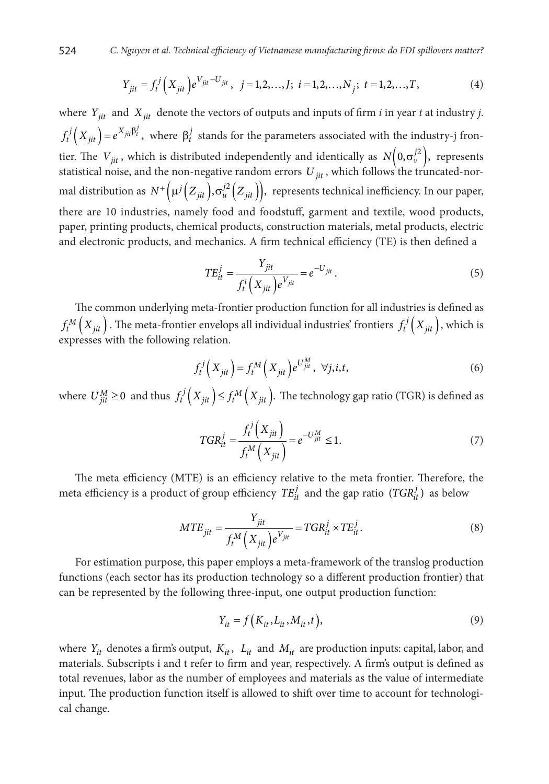524 *C. Nguyen et al. Technical efficiency of Vietnamese manufacturing firms: do FDI spillovers matter?*

$$
Y_{jit} = f_t^j \left( X_{jit} \right) e^{V_{jit} - U_{jit}}, \ \ j = 1, 2, \dots, J; \ \ i = 1, 2, \dots, N_j; \ t = 1, 2, \dots, T,
$$
 (4)

where  $Y_{ijt}$  and  $X_{ijt}$  denote the vectors of outputs and inputs of firm *i* in year *t* at industry *j*.  $f_t^j\left(X_{jit}\right) = e^{X_{jit}\beta_t^j}$ , where  $\beta_t^j$  stands for the parameters associated with the industry-j frontier. The  $V_{jit}$ , which is distributed independently and identically as  $N\left( 0, \sigma_v^{j2} \right)$ , represents statistical noise, and the non-negative random errors *U jit* , which follows the truncated-normal distribution as  $N^+ (\mu^j (Z_{jit}) , \sigma_u^{j2} (Z_{jit}) )$ , represents technical inefficiency. In our paper, there are 10 industries, namely food and foodstuff, garment and textile, wood products, paper, printing products, chemical products, construction materials, metal products, electric and electronic products, and mechanics. A firm technical efficiency (TE) is then defined a

$$
TE_{it}^j = \frac{Y_{jit}}{f_t^i(X_{jit})e^{V_{jit}}} = e^{-U_{jit}}.
$$
\n
$$
(5)
$$

The common underlying meta-frontier production function for all industries is defined as  $f_t^M\Big(X_{jit}\Big)$  . The meta-frontier envelops all individual industries' frontiers  $f_t^j\Big(X_{jit}\Big)$  , which is expresses with the following relation.

$$
f_t^j\left(X_{jit}\right) = f_t^M\left(X_{jit}\right)e^{U_{jit}^M}, \ \forall j, i, t,
$$
\n<sup>(6)</sup>

where  $U_{jit}^M \ge 0$  and thus  $f_t^j(X_{jit}) \le f_t^M(X_{jit})$ . The technology gap ratio (TGR) is defined as

$$
TGR_{it}^{j} = \frac{f_t^{j}(X_{jit})}{f_t^{M}(X_{jit})} = e^{-U_{jit}^{M}} \le 1.
$$
 (7)

The meta efficiency (MTE) is an efficiency relative to the meta frontier. Therefore, the meta efficiency is a product of group efficiency  $TE_{it}^j$  and the gap ratio  $(TGR_{it}^j)$  as below

$$
MTE_{jit} = \frac{Y_{jit}}{f_t^M(X_{jit})e^{V_{jit}}} = TGR_{it}^j \times TE_{it}^j.
$$
 (8)

For estimation purpose, this paper employs a meta-framework of the translog production functions (each sector has its production technology so a different production frontier) that can be represented by the following three-input, one output production function:

$$
Y_{it} = f\left(K_{it}, L_{it}, M_{it}, t\right),\tag{9}
$$

where  $Y_{it}$  denotes a firm's output,  $K_{it}$ ,  $L_{it}$  and  $M_{it}$  are production inputs: capital, labor, and materials. Subscripts i and t refer to firm and year, respectively. A firm's output is defined as total revenues, labor as the number of employees and materials as the value of intermediate input. The production function itself is allowed to shift over time to account for technological change.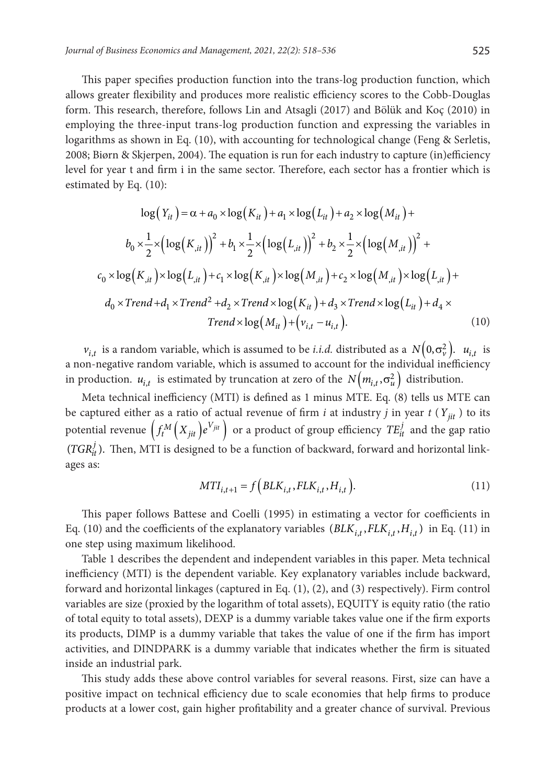This paper specifies production function into the trans-log production function, which allows greater flexibility and produces more realistic efficiency scores to the Cobb-Douglas form. This research, therefore, follows Lin and Atsagli (2017) and Bölük and Koç (2010) in employing the three-input trans-log production function and expressing the variables in logarithms as shown in Eq. (10), with accounting for technological change (Feng & Serletis, 2008; Biørn & Skjerpen, 2004). The equation is run for each industry to capture (in)efficiency level for year t and firm i in the same sector. Therefore, each sector has a frontier which is estimated by Eq. (10):

$$
\log(Y_{it}) = \alpha + a_0 \times \log(K_{it}) + a_1 \times \log(L_{it}) + a_2 \times \log(M_{it}) +
$$
  
\n
$$
b_0 \times \frac{1}{2} \times (\log(K_{it}))^2 + b_1 \times \frac{1}{2} \times (\log(L_{it}))^2 + b_2 \times \frac{1}{2} \times (\log(M_{it}))^2 +
$$
  
\n
$$
c_0 \times \log(K_{it}) \times \log(L_{it}) + c_1 \times \log(K_{it}) \times \log(M_{it}) + c_2 \times \log(M_{it}) \times \log(L_{it}) +
$$
  
\n
$$
d_0 \times Trend + d_1 \times Trend^2 + d_2 \times Trend \times \log(K_{it}) + d_3 \times Trend \times \log(L_{it}) + d_4 \times
$$
  
\n
$$
Trend \times \log(M_{it}) + (v_{i,t} - u_{i,t}). \qquad (10)
$$

*v*<sub>*i,t</sub>* is a random variable, which is assumed to be *i.i.d.* distributed as a  $N(0, \sigma_v^2)$ .  $u_{i,t}$  is</sub> a non-negative random variable, which is assumed to account for the individual inefficiency in production.  $u_{i,t}$  is estimated by truncation at zero of the  $N(m_{i,t}, \sigma_u^2)$  distribution.

Meta technical inefficiency (MTI) is defined as 1 minus MTE. Eq. (8) tells us MTE can be captured either as a ratio of actual revenue of firm *i* at industry *j* in year  $t(Y_{ijt})$  to its potential revenue  $(f_t^M(X_{jit})e^{V_{jit}})$  or a product of group efficiency  $TE_{it}^j$  and the gap ratio  $(TGR<sub>it</sub><sup>j</sup>)$ . Then, MTI is designed to be a function of backward, forward and horizontal linkages as:

$$
MTI_{i,t+1} = f\Big(BLK_{i,t}, FLK_{i,t}, H_{i,t}\Big). \tag{11}
$$

This paper follows Battese and Coelli (1995) in estimating a vector for coefficients in Eq. (10) and the coefficients of the explanatory variables  $(BLK_{i,t}, FLK_{i,t}, H_{i,t})$  in Eq. (11) in one step using maximum likelihood.

Table 1 describes the dependent and independent variables in this paper. Meta technical inefficiency (MTI) is the dependent variable. Key explanatory variables include backward, forward and horizontal linkages (captured in Eq. (1), (2), and (3) respectively). Firm control variables are size (proxied by the logarithm of total assets), EQUITY is equity ratio (the ratio of total equity to total assets), DEXP is a dummy variable takes value one if the firm exports its products, DIMP is a dummy variable that takes the value of one if the firm has import activities, and DINDPARK is a dummy variable that indicates whether the firm is situated inside an industrial park.

This study adds these above control variables for several reasons. First, size can have a positive impact on technical efficiency due to scale economies that help firms to produce products at a lower cost, gain higher profitability and a greater chance of survival. Previous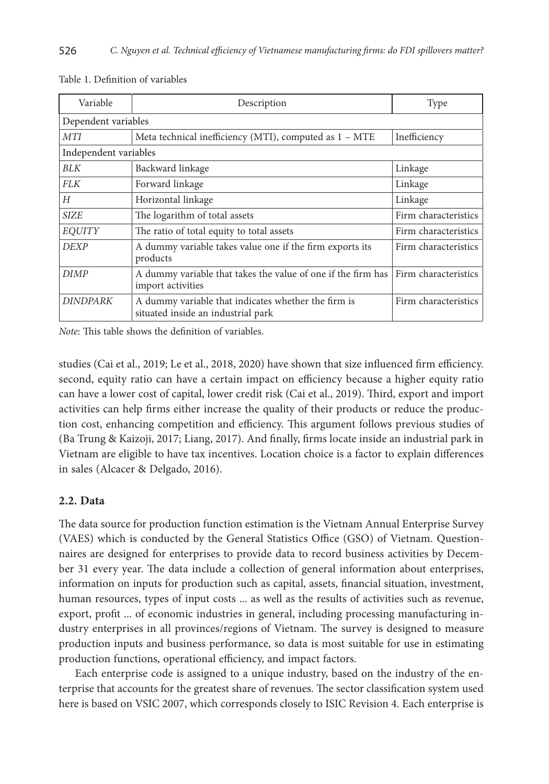| Variable              | Description                                                                                            | Type                 |  |  |  |  |  |
|-----------------------|--------------------------------------------------------------------------------------------------------|----------------------|--|--|--|--|--|
| Dependent variables   |                                                                                                        |                      |  |  |  |  |  |
| <b>MTI</b>            | Meta technical inefficiency (MTI), computed as 1 - MTE                                                 |                      |  |  |  |  |  |
| Independent variables |                                                                                                        |                      |  |  |  |  |  |
| <b>BLK</b>            | Backward linkage                                                                                       | Linkage              |  |  |  |  |  |
| <b>FLK</b>            | Forward linkage                                                                                        | Linkage              |  |  |  |  |  |
| H                     | Horizontal linkage                                                                                     | Linkage              |  |  |  |  |  |
| <b>SIZE</b>           | The logarithm of total assets                                                                          | Firm characteristics |  |  |  |  |  |
| <b>EOUITY</b>         | The ratio of total equity to total assets                                                              | Firm characteristics |  |  |  |  |  |
| <b>DEXP</b>           | A dummy variable takes value one if the firm exports its<br>products                                   | Firm characteristics |  |  |  |  |  |
| <b>DIMP</b>           | A dummy variable that takes the value of one if the firm has Firm characteristics<br>import activities |                      |  |  |  |  |  |
| <b>DINDPARK</b>       | A dummy variable that indicates whether the firm is<br>situated inside an industrial park              | Firm characteristics |  |  |  |  |  |

Table 1. Definition of variables

*Note*: This table shows the definition of variables.

studies (Cai et al., 2019; Le et al., 2018, 2020) have shown that size influenced firm efficiency. second, equity ratio can have a certain impact on efficiency because a higher equity ratio can have a lower cost of capital, lower credit risk (Cai et al., 2019). Third, export and import activities can help firms either increase the quality of their products or reduce the production cost, enhancing competition and efficiency. This argument follows previous studies of (Ba Trung & Kaizoji, 2017; Liang, 2017). And finally, firms locate inside an industrial park in Vietnam are eligible to have tax incentives. Location choice is a factor to explain differences in sales (Alcacer & Delgado, 2016).

#### **2.2. Data**

The data source for production function estimation is the Vietnam Annual Enterprise Survey (VAES) which is conducted by the General Statistics Office (GSO) of Vietnam. Questionnaires are designed for enterprises to provide data to record business activities by December 31 every year. The data include a collection of general information about enterprises, information on inputs for production such as capital, assets, financial situation, investment, human resources, types of input costs ... as well as the results of activities such as revenue, export, profit ... of economic industries in general, including processing manufacturing industry enterprises in all provinces/regions of Vietnam. The survey is designed to measure production inputs and business performance, so data is most suitable for use in estimating production functions, operational efficiency, and impact factors.

Each enterprise code is assigned to a unique industry, based on the industry of the enterprise that accounts for the greatest share of revenues. The sector classification system used here is based on VSIC 2007, which corresponds closely to ISIC Revision 4. Each enterprise is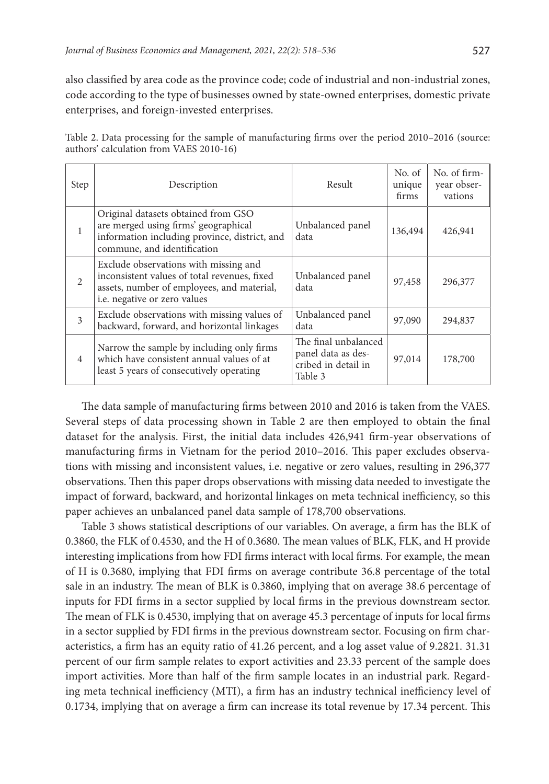also classified by area code as the province code; code of industrial and non-industrial zones, code according to the type of businesses owned by state-owned enterprises, domestic private enterprises, and foreign-invested enterprises.

| Step           | Description                                                                                                                                                         | Result                                                                       | No. of<br>unique<br>firms | No. of firm-<br>year obser-<br>vations |
|----------------|---------------------------------------------------------------------------------------------------------------------------------------------------------------------|------------------------------------------------------------------------------|---------------------------|----------------------------------------|
| 1              | Original datasets obtained from GSO<br>are merged using firms' geographical<br>information including province, district, and<br>commune, and identification         | Unbalanced panel<br>data                                                     | 136,494                   | 426,941                                |
| 2              | Exclude observations with missing and<br>inconsistent values of total revenues, fixed<br>assets, number of employees, and material,<br>i.e. negative or zero values | Unbalanced panel<br>data                                                     | 97,458                    | 296,377                                |
| 3              | Exclude observations with missing values of<br>backward, forward, and horizontal linkages                                                                           | Unbalanced panel<br>data                                                     | 97,090                    | 294,837                                |
| $\overline{4}$ | Narrow the sample by including only firms<br>which have consistent annual values of at<br>least 5 years of consecutively operating                                  | The final unbalanced<br>panel data as des-<br>cribed in detail in<br>Table 3 | 97,014                    | 178,700                                |

Table 2. Data processing for the sample of manufacturing firms over the period 2010–2016 (source: authors' calculation from VAES 2010-16)

The data sample of manufacturing firms between 2010 and 2016 is taken from the VAES. Several steps of data processing shown in Table 2 are then employed to obtain the final dataset for the analysis. First, the initial data includes 426,941 firm-year observations of manufacturing firms in Vietnam for the period 2010–2016. This paper excludes observations with missing and inconsistent values, i.e. negative or zero values, resulting in 296,377 observations. Then this paper drops observations with missing data needed to investigate the impact of forward, backward, and horizontal linkages on meta technical inefficiency, so this paper achieves an unbalanced panel data sample of 178,700 observations.

Table 3 shows statistical descriptions of our variables. On average, a firm has the BLK of 0.3860, the FLK of 0.4530, and the H of 0.3680. The mean values of BLK, FLK, and H provide interesting implications from how FDI firms interact with local firms. For example, the mean of H is 0.3680, implying that FDI firms on average contribute 36.8 percentage of the total sale in an industry. The mean of BLK is 0.3860, implying that on average 38.6 percentage of inputs for FDI firms in a sector supplied by local firms in the previous downstream sector. The mean of FLK is 0.4530, implying that on average 45.3 percentage of inputs for local firms in a sector supplied by FDI firms in the previous downstream sector. Focusing on firm characteristics, a firm has an equity ratio of 41.26 percent, and a log asset value of 9.2821. 31.31 percent of our firm sample relates to export activities and 23.33 percent of the sample does import activities. More than half of the firm sample locates in an industrial park. Regarding meta technical inefficiency (MTI), a firm has an industry technical inefficiency level of 0.1734, implying that on average a firm can increase its total revenue by 17.34 percent. This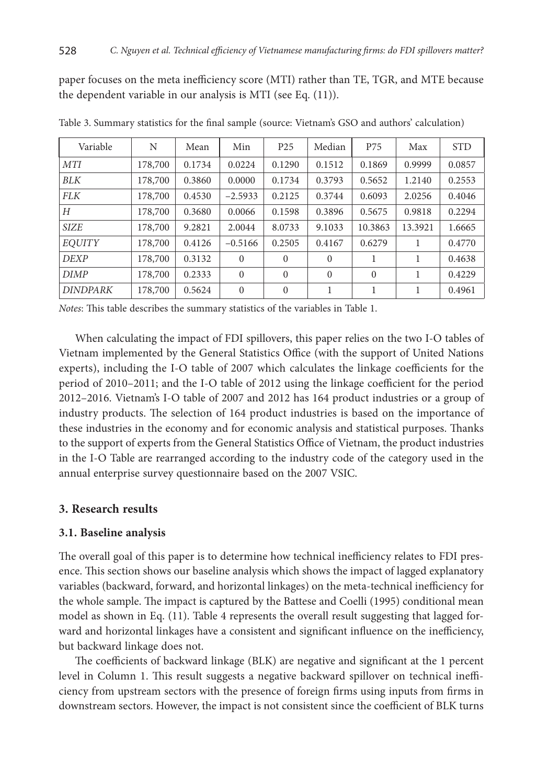paper focuses on the meta inefficiency score (MTI) rather than TE, TGR, and MTE because the dependent variable in our analysis is MTI (see Eq. (11)).

| Variable        | N       | Mean   | Min          | P <sub>25</sub> | Median   | P75      | Max     | <b>STD</b> |
|-----------------|---------|--------|--------------|-----------------|----------|----------|---------|------------|
| <b>MTI</b>      | 178,700 | 0.1734 | 0.0224       | 0.1290          | 0.1512   | 0.1869   | 0.9999  | 0.0857     |
| BLK             | 178,700 | 0.3860 | 0.0000       | 0.1734          | 0.3793   | 0.5652   | 1.2140  | 0.2553     |
| <b>FLK</b>      | 178,700 | 0.4530 | $-2.5933$    | 0.2125          | 0.3744   | 0.6093   | 2.0256  | 0.4046     |
| Н               | 178,700 | 0.3680 | 0.0066       | 0.1598          | 0.3896   | 0.5675   | 0.9818  | 0.2294     |
| <b>SIZE</b>     | 178,700 | 9.2821 | 2.0044       | 8.0733          | 9.1033   | 10.3863  | 13.3921 | 1.6665     |
| <b>EOUITY</b>   | 178,700 | 0.4126 | $-0.5166$    | 0.2505          | 0.4167   | 0.6279   |         | 0.4770     |
| <b>DEXP</b>     | 178,700 | 0.3132 | $\mathbf{0}$ | $\Omega$        | $\Omega$ | 1        |         | 0.4638     |
| <b>DIMP</b>     | 178,700 | 0.2333 | $\Omega$     | $\Omega$        | $\Omega$ | $\Omega$ |         | 0.4229     |
| <b>DINDPARK</b> | 178,700 | 0.5624 | $\mathbf{0}$ | $\mathbf{0}$    |          | 1        | 1       | 0.4961     |

Table 3. Summary statistics for the final sample (source: Vietnam's GSO and authors' calculation)

*Notes*: This table describes the summary statistics of the variables in Table 1.

When calculating the impact of FDI spillovers, this paper relies on the two I-O tables of Vietnam implemented by the General Statistics Office (with the support of United Nations experts), including the I-O table of 2007 which calculates the linkage coefficients for the period of 2010–2011; and the I-O table of 2012 using the linkage coefficient for the period 2012–2016. Vietnam's I-O table of 2007 and 2012 has 164 product industries or a group of industry products. The selection of 164 product industries is based on the importance of these industries in the economy and for economic analysis and statistical purposes. Thanks to the support of experts from the General Statistics Office of Vietnam, the product industries in the I-O Table are rearranged according to the industry code of the category used in the annual enterprise survey questionnaire based on the 2007 VSIC.

# **3. Research results**

# **3.1. Baseline analysis**

The overall goal of this paper is to determine how technical inefficiency relates to FDI presence. This section shows our baseline analysis which shows the impact of lagged explanatory variables (backward, forward, and horizontal linkages) on the meta-technical inefficiency for the whole sample. The impact is captured by the Battese and Coelli (1995) conditional mean model as shown in Eq. (11). Table 4 represents the overall result suggesting that lagged forward and horizontal linkages have a consistent and significant influence on the inefficiency, but backward linkage does not.

The coefficients of backward linkage (BLK) are negative and significant at the 1 percent level in Column 1. This result suggests a negative backward spillover on technical inefficiency from upstream sectors with the presence of foreign firms using inputs from firms in downstream sectors. However, the impact is not consistent since the coefficient of BLK turns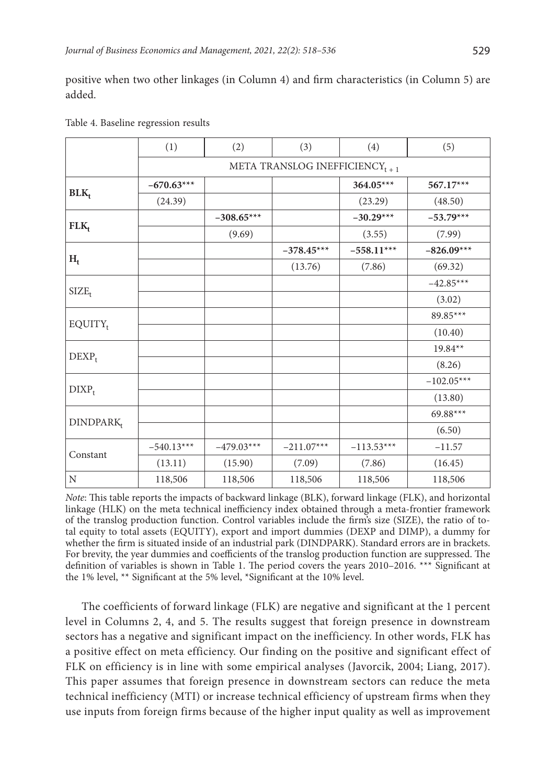positive when two other linkages (in Column 4) and firm characteristics (in Column 5) are added.

|                       | (1)                                       | (2)          | (3)          | (4)          | (5)          |  |  |
|-----------------------|-------------------------------------------|--------------|--------------|--------------|--------------|--|--|
|                       | META TRANSLOG INEFFICIENCY <sub>t+1</sub> |              |              |              |              |  |  |
|                       | $-670.63***$                              |              |              | 364.05***    | 567.17***    |  |  |
| $BLK_t$               | (24.39)                                   |              |              | (23.29)      | (48.50)      |  |  |
|                       |                                           | $-308.65***$ |              | $-30.29***$  | $-53.79***$  |  |  |
| $FLK_t$               |                                           | (9.69)       |              | (3.55)       | (7.99)       |  |  |
|                       |                                           |              | $-378.45***$ | $-558.11***$ | $-826.09***$ |  |  |
| $H_t$                 |                                           |              | (13.76)      | (7.86)       | (69.32)      |  |  |
|                       |                                           |              |              |              | $-42.85***$  |  |  |
| $SIZE_t$              |                                           |              |              |              | (3.02)       |  |  |
|                       |                                           |              |              |              | 89.85***     |  |  |
| $EQUITY_t$            |                                           |              |              |              | (10.40)      |  |  |
|                       |                                           |              |              |              | $19.84**$    |  |  |
| $DEXP_t$              |                                           |              |              |              | (8.26)       |  |  |
|                       |                                           |              |              |              | $-102.05***$ |  |  |
| $DIXP_t$              |                                           |              |              |              | (13.80)      |  |  |
|                       |                                           |              |              |              | 69.88***     |  |  |
| DINDPARK <sub>t</sub> |                                           |              |              |              | (6.50)       |  |  |
|                       | $-540.13***$                              | $-479.03***$ | $-211.07***$ | $-113.53***$ | $-11.57$     |  |  |
| Constant              | (13.11)                                   | (15.90)      | (7.09)       | (7.86)       | (16.45)      |  |  |
| N                     | 118,506                                   | 118,506      | 118,506      | 118,506      | 118,506      |  |  |

Table 4. Baseline regression results

*Note*: This table reports the impacts of backward linkage (BLK), forward linkage (FLK), and horizontal linkage (HLK) on the meta technical inefficiency index obtained through a meta-frontier framework of the translog production function. Control variables include the firm's size (SIZE), the ratio of total equity to total assets (EQUITY), export and import dummies (DEXP and DIMP), a dummy for whether the firm is situated inside of an industrial park (DINDPARK). Standard errors are in brackets. For brevity, the year dummies and coefficients of the translog production function are suppressed. The definition of variables is shown in Table 1. The period covers the years 2010–2016. \*\*\* Significant at the 1% level, \*\* Significant at the 5% level, \*Significant at the 10% level.

The coefficients of forward linkage (FLK) are negative and significant at the 1 percent level in Columns 2, 4, and 5. The results suggest that foreign presence in downstream sectors has a negative and significant impact on the inefficiency. In other words, FLK has a positive effect on meta efficiency. Our finding on the positive and significant effect of FLK on efficiency is in line with some empirical analyses (Javorcik, 2004; Liang, 2017). This paper assumes that foreign presence in downstream sectors can reduce the meta technical inefficiency (MTI) or increase technical efficiency of upstream firms when they use inputs from foreign firms because of the higher input quality as well as improvement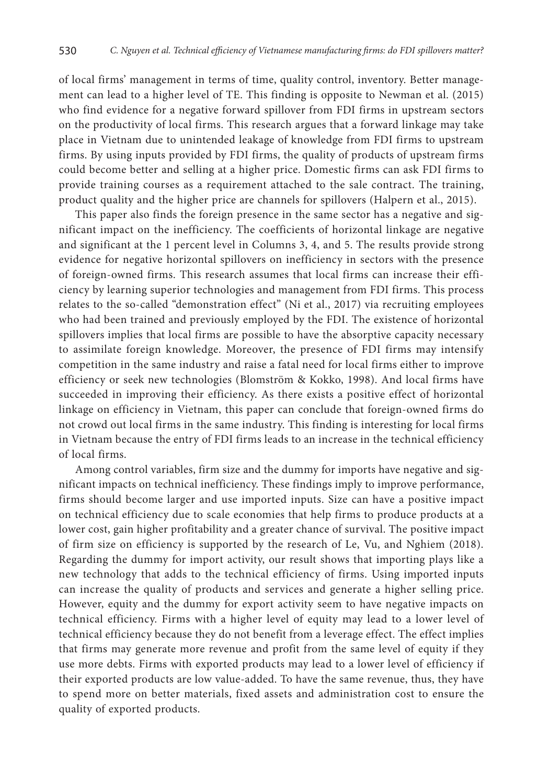of local firms' management in terms of time, quality control, inventory. Better management can lead to a higher level of TE. This finding is opposite to Newman et al. (2015) who find evidence for a negative forward spillover from FDI firms in upstream sectors on the productivity of local firms. This research argues that a forward linkage may take place in Vietnam due to unintended leakage of knowledge from FDI firms to upstream firms. By using inputs provided by FDI firms, the quality of products of upstream firms could become better and selling at a higher price. Domestic firms can ask FDI firms to provide training courses as a requirement attached to the sale contract. The training, product quality and the higher price are channels for spillovers (Halpern et al., 2015).

This paper also finds the foreign presence in the same sector has a negative and significant impact on the inefficiency. The coefficients of horizontal linkage are negative and significant at the 1 percent level in Columns 3, 4, and 5. The results provide strong evidence for negative horizontal spillovers on inefficiency in sectors with the presence of foreign-owned firms. This research assumes that local firms can increase their efficiency by learning superior technologies and management from FDI firms. This process relates to the so-called "demonstration effect" (Ni et al., 2017) via recruiting employees who had been trained and previously employed by the FDI. The existence of horizontal spillovers implies that local firms are possible to have the absorptive capacity necessary to assimilate foreign knowledge. Moreover, the presence of FDI firms may intensify competition in the same industry and raise a fatal need for local firms either to improve efficiency or seek new technologies (Blomström & Kokko, 1998). And local firms have succeeded in improving their efficiency. As there exists a positive effect of horizontal linkage on efficiency in Vietnam, this paper can conclude that foreign-owned firms do not crowd out local firms in the same industry. This finding is interesting for local firms in Vietnam because the entry of FDI firms leads to an increase in the technical efficiency of local firms.

Among control variables, firm size and the dummy for imports have negative and significant impacts on technical inefficiency. These findings imply to improve performance, firms should become larger and use imported inputs. Size can have a positive impact on technical efficiency due to scale economies that help firms to produce products at a lower cost, gain higher profitability and a greater chance of survival. The positive impact of firm size on efficiency is supported by the research of Le, Vu, and Nghiem (2018). Regarding the dummy for import activity, our result shows that importing plays like a new technology that adds to the technical efficiency of firms. Using imported inputs can increase the quality of products and services and generate a higher selling price. However, equity and the dummy for export activity seem to have negative impacts on technical efficiency. Firms with a higher level of equity may lead to a lower level of technical efficiency because they do not benefit from a leverage effect. The effect implies that firms may generate more revenue and profit from the same level of equity if they use more debts. Firms with exported products may lead to a lower level of efficiency if their exported products are low value-added. To have the same revenue, thus, they have to spend more on better materials, fixed assets and administration cost to ensure the quality of exported products.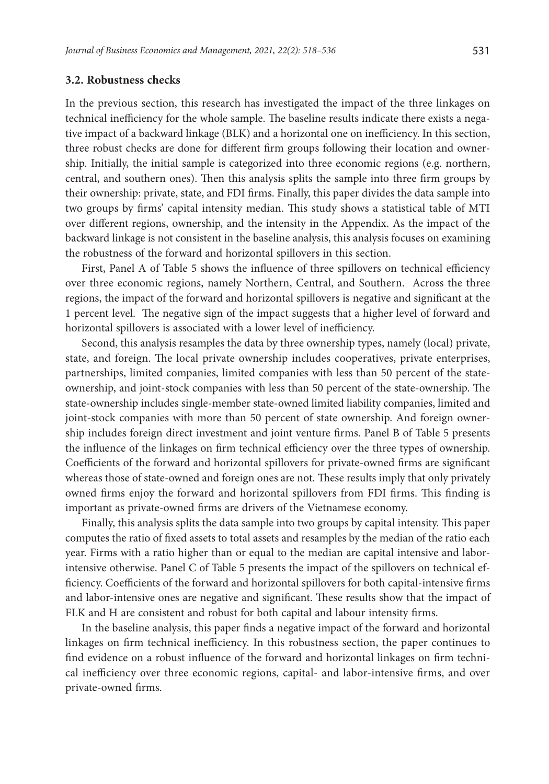#### **3.2. Robustness checks**

In the previous section, this research has investigated the impact of the three linkages on technical inefficiency for the whole sample. The baseline results indicate there exists a negative impact of a backward linkage (BLK) and a horizontal one on inefficiency. In this section, three robust checks are done for different firm groups following their location and ownership. Initially, the initial sample is categorized into three economic regions (e.g. northern, central, and southern ones). Then this analysis splits the sample into three firm groups by their ownership: private, state, and FDI firms. Finally, this paper divides the data sample into two groups by firms' capital intensity median. This study shows a statistical table of MTI over different regions, ownership, and the intensity in the Appendix. As the impact of the backward linkage is not consistent in the baseline analysis, this analysis focuses on examining the robustness of the forward and horizontal spillovers in this section.

First, Panel A of Table 5 shows the influence of three spillovers on technical efficiency over three economic regions, namely Northern, Central, and Southern. Across the three regions, the impact of the forward and horizontal spillovers is negative and significant at the 1 percent level. The negative sign of the impact suggests that a higher level of forward and horizontal spillovers is associated with a lower level of inefficiency.

Second, this analysis resamples the data by three ownership types, namely (local) private, state, and foreign. The local private ownership includes cooperatives, private enterprises, partnerships, limited companies, limited companies with less than 50 percent of the stateownership, and joint-stock companies with less than 50 percent of the state-ownership. The state-ownership includes single-member state-owned limited liability companies, limited and joint-stock companies with more than 50 percent of state ownership. And foreign ownership includes foreign direct investment and joint venture firms. Panel B of Table 5 presents the influence of the linkages on firm technical efficiency over the three types of ownership. Coefficients of the forward and horizontal spillovers for private-owned firms are significant whereas those of state-owned and foreign ones are not. These results imply that only privately owned firms enjoy the forward and horizontal spillovers from FDI firms. This finding is important as private-owned firms are drivers of the Vietnamese economy.

Finally, this analysis splits the data sample into two groups by capital intensity. This paper computes the ratio of fixed assets to total assets and resamples by the median of the ratio each year. Firms with a ratio higher than or equal to the median are capital intensive and laborintensive otherwise. Panel C of Table 5 presents the impact of the spillovers on technical efficiency. Coefficients of the forward and horizontal spillovers for both capital-intensive firms and labor-intensive ones are negative and significant. These results show that the impact of FLK and H are consistent and robust for both capital and labour intensity firms.

In the baseline analysis, this paper finds a negative impact of the forward and horizontal linkages on firm technical inefficiency. In this robustness section, the paper continues to find evidence on a robust influence of the forward and horizontal linkages on firm technical inefficiency over three economic regions, capital- and labor-intensive firms, and over private-owned firms.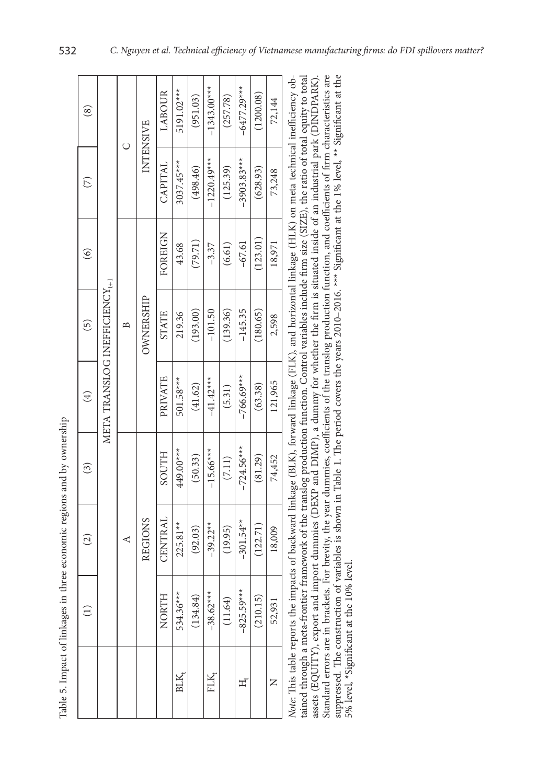|                                                                                               | ֖֖֖֚֚֚֚֚֚֚֚֚֚֚֚֡֝֝֝֝֝<br>֧֚֚֝                         |
|-----------------------------------------------------------------------------------------------|-------------------------------------------------------|
|                                                                                               | ֖֪֪֪֪֪֪֚֚֚֚֚֚֚֚֚֚֚֚֚֚֚֚֚֚֚֡֝֝֝֝֝֝֝֝֝֝֝֝֝ <del>֛</del> |
| c and hy                                                                                      | :                                                     |
| hraa aconomic ramon                                                                           | :                                                     |
| -<br>-<br>-<br>-<br>-<br>-<br>-<br>-                                                          | ֚                                                     |
| i<br>l<br>֖֖֖֧֧֧֧֧ׅ֧֚֚֚֚֚֚֚֚֚֚֚֚֚֚֚֚֚֚֚֚֚֬֝֝֝֝֟֓֡֟֓֡֞֡֟֓֡֞֡֟֓֡֬֝֬֝֬֝֩֝֬<br>$\frac{1}{2}$<br>F |                                                       |

|                  |              | $\widehat{c}$  | $\left( 3\right)$ | $\bigoplus$                                                                                                                                          | 6)               | $\widehat{\circ}$ | E             | $^{\circledR}$ |
|------------------|--------------|----------------|-------------------|------------------------------------------------------------------------------------------------------------------------------------------------------|------------------|-------------------|---------------|----------------|
|                  |              |                |                   | META TRANSLOG INEFICIENCY <sub>t+1</sub>                                                                                                             |                  |                   |               |                |
|                  |              | ⋖              |                   |                                                                                                                                                      | B                |                   |               |                |
|                  |              | <b>REGIONS</b> |                   |                                                                                                                                                      | <b>OWNERSHIP</b> |                   | INTENSIVE     |                |
|                  | <b>NORTH</b> | CENTRAL        | <b>HILOOS</b>     | PRIVATE                                                                                                                                              | <b>STATE</b>     | FOREIGN           | CAPITAL       | LABOUR         |
| BLK <sub>1</sub> | 534.36***    | $225.81**$     | 449.00***         | 501.58***                                                                                                                                            | 219.36           | 43.68             | 3037.45***    | 5191.02***     |
|                  | (134.84)     | (92.03)        | (50.33)           | (41.62)                                                                                                                                              | (193.00)         | (79.71)           | (498.46)      | (951.03)       |
| FLK,             | $-38.62***$  | $-39.22**$     | $-15.66***$       | $-41.42***$                                                                                                                                          | $-101.50$        | $-3.37$           | $-1220.49***$ | $-1343.00***$  |
|                  | (11.64)      | (19.95)        | (7.11)            | (5.31)                                                                                                                                               | (139.36)         | (6.61)            | (125.39)      | (257.78)       |
| ᇁ                | $-825.59***$ | $-301.54**$    | $-724.56***$      | $-766.69***$                                                                                                                                         | $-145.35$        | $-67.61$          | $-3903.83***$ | $-6477.29***$  |
|                  | (210.15)     | (122.71)       | (81.29)           | (63.38)                                                                                                                                              | (180.65)         | (123.01)          | (628.93)      | (1200.08)      |
| Z                | 52,931       | 18,009         | 74,452            | 121,965                                                                                                                                              | 2,598            | 18,971            | 73,248        | 72,144         |
|                  |              |                |                   | Note: This table reports the impacts of backward linkage (BIK) forward linkage (EIK) and borizontal linkage (HIK) on meta technical inefficiency ob- |                  |                   |               |                |

tained through a meta-frontier framework of the translog production function. Control variables include firm size (SIZE), the ratio of total equity to total assets (EQUITY), export and import dummies (DEXP and DIMP), a dummy for whether the firm is situated inside of an industrial park (DINDPARK). Standard errors are in brackets. For brevity, the year dummies, coefficients of the translog production function, and coefficients of firm characteristics are suppressed. The construction of variables is shown in Table 1. Standard errors are in brackets. For brevity, the year dummies, coefficients of the translog production function, and coefficients of firm characteristics are suppressed. The construction of variables is shown in Table 1. The period covers the years 2010–2016. \*\*\* Significant at the 1% level, \*\* Significant at the tained through a meta-frontier framework of the translog production function. Control variables include firm size (SIZE), the ratio of total equity to total assets (EQUITY), export and import dummies (DEXP and DIMP), a dummy for whether the firm is situated inside of an industrial park (DINDPARK). *Note*: This table reports the impacts of backward linkage (BLK), forward linkage (FLK), and horizontal linkage (HLK) on meta technical inefficiency obwore: this table reports the impacts of productionary including the charge (FLK), and nortzonial intrage (FLK) on meta technical interactionary ob-5% level, \*Significant at the 10% level. 5% level, \*Significant at the 10% level.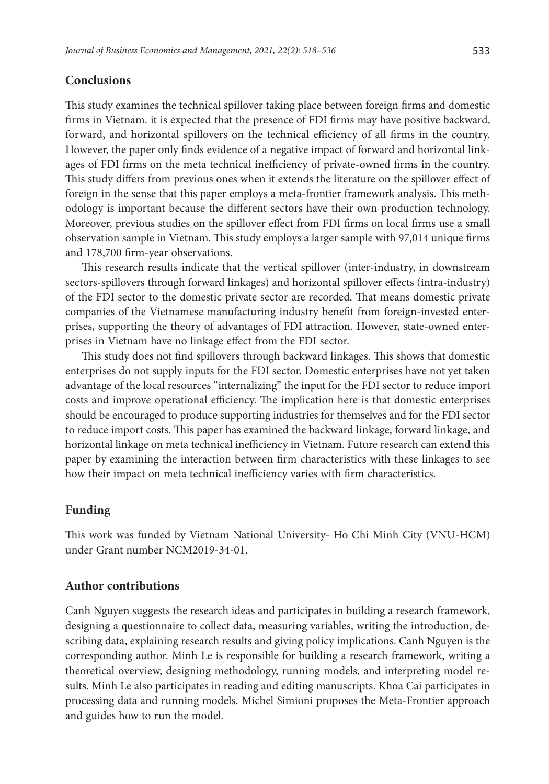# **Conclusions**

This study examines the technical spillover taking place between foreign firms and domestic firms in Vietnam. it is expected that the presence of FDI firms may have positive backward, forward, and horizontal spillovers on the technical efficiency of all firms in the country. However, the paper only finds evidence of a negative impact of forward and horizontal linkages of FDI firms on the meta technical inefficiency of private-owned firms in the country. This study differs from previous ones when it extends the literature on the spillover effect of foreign in the sense that this paper employs a meta-frontier framework analysis. This methodology is important because the different sectors have their own production technology. Moreover, previous studies on the spillover effect from FDI firms on local firms use a small observation sample in Vietnam. This study employs a larger sample with 97,014 unique firms and 178,700 firm-year observations.

This research results indicate that the vertical spillover (inter-industry, in downstream sectors-spillovers through forward linkages) and horizontal spillover effects (intra-industry) of the FDI sector to the domestic private sector are recorded. That means domestic private companies of the Vietnamese manufacturing industry benefit from foreign-invested enterprises, supporting the theory of advantages of FDI attraction. However, state-owned enterprises in Vietnam have no linkage effect from the FDI sector.

This study does not find spillovers through backward linkages. This shows that domestic enterprises do not supply inputs for the FDI sector. Domestic enterprises have not yet taken advantage of the local resources "internalizing" the input for the FDI sector to reduce import costs and improve operational efficiency. The implication here is that domestic enterprises should be encouraged to produce supporting industries for themselves and for the FDI sector to reduce import costs. This paper has examined the backward linkage, forward linkage, and horizontal linkage on meta technical inefficiency in Vietnam. Future research can extend this paper by examining the interaction between firm characteristics with these linkages to see how their impact on meta technical inefficiency varies with firm characteristics.

# **Funding**

This work was funded by Vietnam National University- Ho Chi Minh City (VNU-HCM) under Grant number NCM2019-34-01.

#### **Author contributions**

Canh Nguyen suggests the research ideas and participates in building a research framework, designing a questionnaire to collect data, measuring variables, writing the introduction, describing data, explaining research results and giving policy implications. Canh Nguyen is the corresponding author. Minh Le is responsible for building a research framework, writing a theoretical overview, designing methodology, running models, and interpreting model results. Minh Le also participates in reading and editing manuscripts. Khoa Cai participates in processing data and running models. Michel Simioni proposes the Meta-Frontier approach and guides how to run the model.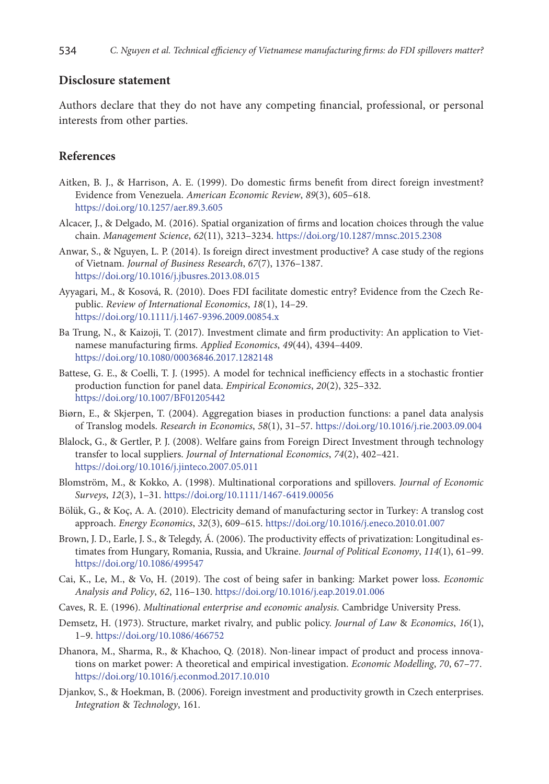#### **Disclosure statement**

Authors declare that they do not have any competing financial, professional, or personal interests from other parties.

### **References**

- Aitken, B. J., & Harrison, A. E. (1999). Do domestic firms benefit from direct foreign investment? Evidence from Venezuela. *American Economic Review*, *89*(3), 605–618. <https://doi.org/10.1257/aer.89.3.605>
- Alcacer, J., & Delgado, M. (2016). Spatial organization of firms and location choices through the value chain. *Management Science*, *62*(11), 3213–3234. <https://doi.org/10.1287/mnsc.2015.2308>
- Anwar, S., & Nguyen, L. P. (2014). Is foreign direct investment productive? A case study of the regions of Vietnam. *Journal of Business Research*, *67*(7), 1376–1387. <https://doi.org/10.1016/j.jbusres.2013.08.015>
- Ayyagari, M., & Kosová, R. (2010). Does FDI facilitate domestic entry? Evidence from the Czech Republic. *Review of International Economics*, *18*(1), 14–29. <https://doi.org/10.1111/j.1467-9396.2009.00854.x>
- Ba Trung, N., & Kaizoji, T. (2017). Investment climate and firm productivity: An application to Vietnamese manufacturing firms. *Applied Economics*, *49*(44), 4394–4409. <https://doi.org/10.1080/00036846.2017.1282148>
- Battese, G. E., & Coelli, T. J. (1995). A model for technical inefficiency effects in a stochastic frontier production function for panel data. *Empirical Economics*, *20*(2), 325–332. <https://doi.org/10.1007/BF01205442>
- Biørn, E., & Skjerpen, T. (2004). Aggregation biases in production functions: a panel data analysis of Translog models. *Research in Economics*, *58*(1), 31–57. <https://doi.org/10.1016/j.rie.2003.09.004>
- Blalock, G., & Gertler, P. J. (2008). Welfare gains from Foreign Direct Investment through technology transfer to local suppliers. *Journal of International Economics*, *74*(2), 402–421. <https://doi.org/10.1016/j.jinteco.2007.05.011>
- Blomström, M., & Kokko, A. (1998). Multinational corporations and spillovers. *Journal of Economic Surveys*, *12*(3), 1–31. <https://doi.org/10.1111/1467-6419.00056>
- Bölük, G., & Koç, A. A. (2010). Electricity demand of manufacturing sector in Turkey: A translog cost approach. *Energy Economics*, *32*(3), 609–615. <https://doi.org/10.1016/j.eneco.2010.01.007>
- Brown, J. D., Earle, J. S., & Telegdy, Á. (2006). The productivity effects of privatization: Longitudinal estimates from Hungary, Romania, Russia, and Ukraine. *Journal of Political Economy*, *114*(1), 61–99. <https://doi.org/10.1086/499547>
- Cai, K., Le, M., & Vo, H. (2019). The cost of being safer in banking: Market power loss. *Economic Analysis and Policy*, *62*, 116–130. <https://doi.org/10.1016/j.eap.2019.01.006>
- Caves, R. E. (1996). *Multinational enterprise and economic analysis*. Cambridge University Press.
- Demsetz, H. (1973). Structure, market rivalry, and public policy. *Journal of Law* & *Economics*, *16*(1), 1–9. <https://doi.org/10.1086/466752>
- Dhanora, M., Sharma, R., & Khachoo, Q. (2018). Non-linear impact of product and process innovations on market power: A theoretical and empirical investigation. *Economic Modelling*, *70*, 67–77. <https://doi.org/10.1016/j.econmod.2017.10.010>
- Djankov, S., & Hoekman, B. (2006). Foreign investment and productivity growth in Czech enterprises. *Integration* & *Technology*, 161.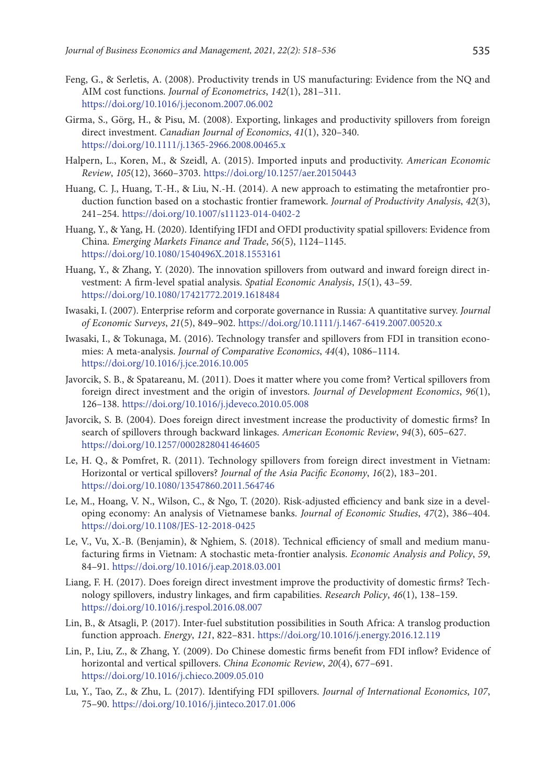- Feng, G., & Serletis, A. (2008). Productivity trends in US manufacturing: Evidence from the NQ and AIM cost functions. *Journal of Econometrics*, *142*(1), 281–311. <https://doi.org/10.1016/j.jeconom.2007.06.002>
- Girma, S., Görg, H., & Pisu, M. (2008). Exporting, linkages and productivity spillovers from foreign direct investment. *Canadian Journal of Economics*, *41*(1), 320–340. <https://doi.org/10.1111/j.1365-2966.2008.00465.x>
- Halpern, L., Koren, M., & Szeidl, A. (2015). Imported inputs and productivity. *American Economic Review*, *105*(12), 3660–3703. <https://doi.org/10.1257/aer.20150443>
- Huang, C. J., Huang, T.-H., & Liu, N.-H. (2014). A new approach to estimating the metafrontier production function based on a stochastic frontier framework. *Journal of Productivity Analysis*, *42*(3), 241–254. <https://doi.org/10.1007/s11123-014-0402-2>
- Huang, Y., & Yang, H. (2020). Identifying IFDI and OFDI productivity spatial spillovers: Evidence from China. *Emerging Markets Finance and Trade*, *56*(5), 1124–1145. <https://doi.org/10.1080/1540496X.2018.1553161>
- Huang, Y., & Zhang, Y. (2020). The innovation spillovers from outward and inward foreign direct investment: A firm-level spatial analysis. *Spatial Economic Analysis*, *15*(1), 43–59. <https://doi.org/10.1080/17421772.2019.1618484>
- Iwasaki, I. (2007). Enterprise reform and corporate governance in Russia: A quantitative survey. *Journal of Economic Surveys*, *21*(5), 849–902. <https://doi.org/10.1111/j.1467-6419.2007.00520.x>
- Iwasaki, I., & Tokunaga, M. (2016). Technology transfer and spillovers from FDI in transition economies: A meta-analysis. *Journal of Comparative Economics*, *44*(4), 1086–1114. <https://doi.org/10.1016/j.jce.2016.10.005>
- Javorcik, S. B., & Spatareanu, M. (2011). Does it matter where you come from? Vertical spillovers from foreign direct investment and the origin of investors. *Journal of Development Economics*, *96*(1), 126–138. <https://doi.org/10.1016/j.jdeveco.2010.05.008>
- Javorcik, S. B. (2004). Does foreign direct investment increase the productivity of domestic firms? In search of spillovers through backward linkages. *American Economic Review*, *94*(3), 605–627. <https://doi.org/10.1257/0002828041464605>
- Le, H. Q., & Pomfret, R. (2011). Technology spillovers from foreign direct investment in Vietnam: Horizontal or vertical spillovers? *Journal of the Asia Pacific Economy*, *16*(2), 183–201. <https://doi.org/10.1080/13547860.2011.564746>
- Le, M., Hoang, V. N., Wilson, C., & Ngo, T. (2020). Risk-adjusted efficiency and bank size in a developing economy: An analysis of Vietnamese banks. *Journal of Economic Studies*, *47*(2), 386–404. <https://doi.org/10.1108/JES-12-2018-0425>
- Le, V., Vu, X.-B. (Benjamin), & Nghiem, S. (2018). Technical efficiency of small and medium manufacturing firms in Vietnam: A stochastic meta-frontier analysis. *Economic Analysis and Policy*, *59*, 84–91. <https://doi.org/10.1016/j.eap.2018.03.001>
- Liang, F. H. (2017). Does foreign direct investment improve the productivity of domestic firms? Technology spillovers, industry linkages, and firm capabilities. *Research Policy*, *46*(1), 138–159. <https://doi.org/10.1016/j.respol.2016.08.007>
- Lin, B., & Atsagli, P. (2017). Inter-fuel substitution possibilities in South Africa: A translog production function approach. *Energy*, *121*, 822–831.<https://doi.org/10.1016/j.energy.2016.12.119>
- Lin, P., Liu, Z., & Zhang, Y. (2009). Do Chinese domestic firms benefit from FDI inflow? Evidence of horizontal and vertical spillovers. *China Economic Review*, *20*(4), 677–691. <https://doi.org/10.1016/j.chieco.2009.05.010>
- Lu, Y., Tao, Z., & Zhu, L. (2017). Identifying FDI spillovers. *Journal of International Economics*, *107*, 75–90. <https://doi.org/10.1016/j.jinteco.2017.01.006>